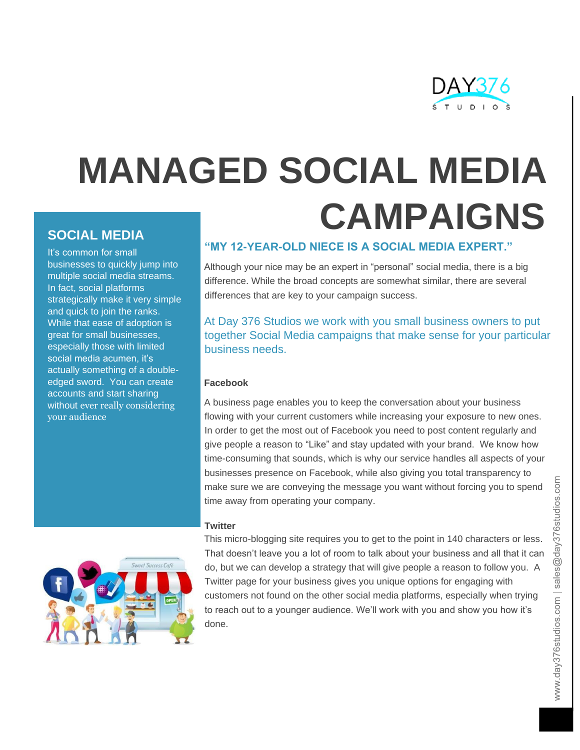

# **MANAGED SOCIAL MEDIA CAMPAIGNS**

# **SOCIAL MEDIA**

It's common for small businesses to quickly jump into multiple social media streams. In fact, social platforms strategically make it very simple and quick to join the ranks. While that ease of adoption is great for small businesses, especially those with limited social media acumen, it's actually something of a doubleedged sword. You can create accounts and start sharing without ever really considering your audience



## **"MY 12-YEAR-OLD NIECE IS A SOCIAL MEDIA EXPERT."**

Although your nice may be an expert in "personal" social media, there is a big difference. While the broad concepts are somewhat similar, there are several differences that are key to your campaign success.

At Day 376 Studios we work with you small business owners to put together Social Media campaigns that make sense for your particular business needs.

## **Facebook**

A business page enables you to keep the conversation about your business flowing with your current customers while increasing your exposure to new ones. In order to get the most out of Facebook you need to post content regularly and give people a reason to "Like" and stay updated with your brand. We know how time-consuming that sounds, which is why our service handles all aspects of your businesses presence on Facebook, while also giving you total transparency to make sure we are conveying the message you want without forcing you to spend time away from operating your company.

## **Twitter**

This micro-blogging site requires you to get to the point in 140 characters or less. That doesn't leave you a lot of room to talk about your business and all that it can do, but we can develop a strategy that will give people a reason to follow you. A Twitter page for your business gives you unique options for engaging with customers not found on the other social media platforms, especially when trying to reach out to a younger audience. We'll work with you and show you how it's done.